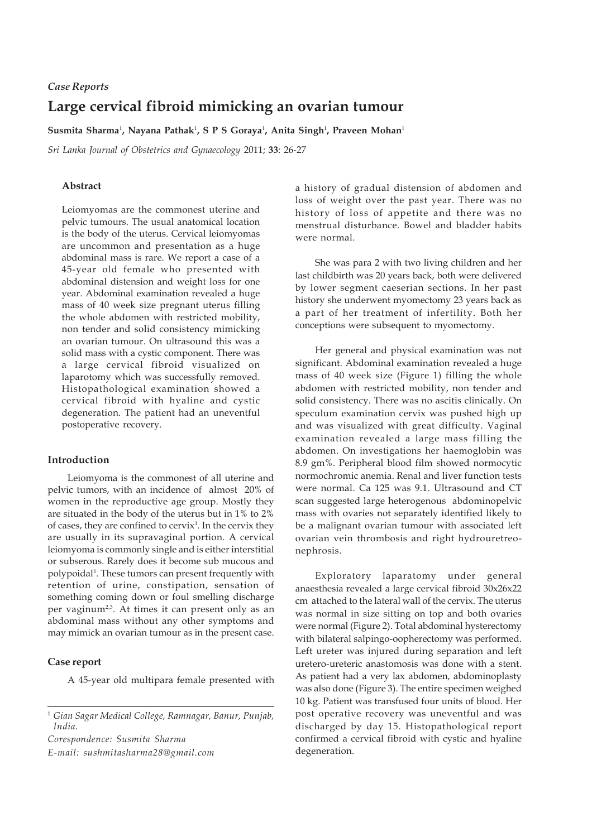# **Large cervical fibroid mimicking an ovarian tumour** *Case Reports*

**Susmita Sharma**<sup>1</sup> **, Nayana Pathak**<sup>1</sup> **, S P S Goraya**<sup>1</sup> **, Anita Singh**<sup>1</sup> **, Praveen Mohan**<sup>1</sup>

*Sri Lanka Journal of Obstetrics and Gynaecology* 2011; **33**: 26-27

## **Abstract**

Leiomyomas are the commonest uterine and pelvic tumours. The usual anatomical location is the body of the uterus. Cervical leiomyomas are uncommon and presentation as a huge abdominal mass is rare. We report a case of a 45-year old female who presented with abdominal distension and weight loss for one year. Abdominal examination revealed a huge mass of 40 week size pregnant uterus filling the whole abdomen with restricted mobility, non tender and solid consistency mimicking an ovarian tumour. On ultrasound this was a solid mass with a cystic component. There was a large cervical fibroid visualized on laparotomy which was successfully removed. Histopathological examination showed a cervical fibroid with hyaline and cystic degeneration. The patient had an uneventful postoperative recovery.

#### **Introduction**

Leiomyoma is the commonest of all uterine and pelvic tumors, with an incidence of almost 20% of women in the reproductive age group. Mostly they are situated in the body of the uterus but in 1% to 2% of cases, they are confined to cervix<sup>1</sup>. In the cervix they are usually in its supravaginal portion. A cervical leiomyoma is commonly single and is either interstitial or subserous. Rarely does it become sub mucous and polypoidal<sup>1</sup>. These tumors can present frequently with retention of urine, constipation, sensation of something coming down or foul smelling discharge per vaginum2,3. At times it can present only as an abdominal mass without any other symptoms and may mimick an ovarian tumour as in the present case.

## **Case report**

A 45-year old multipara female presented with

<sup>1</sup> *Gian Sagar Medical College, Ramnagar, Banur, Punjab, India.*

*Corespondence: Susmita Sharma*

*E-mail: sushmitasharma28@gmail.com*

a history of gradual distension of abdomen and loss of weight over the past year. There was no history of loss of appetite and there was no menstrual disturbance. Bowel and bladder habits were normal.

She was para 2 with two living children and her last childbirth was 20 years back, both were delivered by lower segment caeserian sections. In her past history she underwent myomectomy 23 years back as a part of her treatment of infertility. Both her conceptions were subsequent to myomectomy.

Her general and physical examination was not significant. Abdominal examination revealed a huge mass of 40 week size (Figure 1) filling the whole abdomen with restricted mobility, non tender and solid consistency. There was no ascitis clinically. On speculum examination cervix was pushed high up and was visualized with great difficulty. Vaginal examination revealed a large mass filling the abdomen. On investigations her haemoglobin was 8.9 gm%. Peripheral blood film showed normocytic normochromic anemia. Renal and liver function tests were normal. Ca 125 was 9.1. Ultrasound and CT scan suggested large heterogenous abdominopelvic mass with ovaries not separately identified likely to be a malignant ovarian tumour with associated left ovarian vein thrombosis and right hydrouretreonephrosis.

Exploratory laparatomy under general anaesthesia revealed a large cervical fibroid 30x26x22 cm attached to the lateral wall of the cervix. The uterus was normal in size sitting on top and both ovaries were normal (Figure 2). Total abdominal hysterectomy with bilateral salpingo-oopherectomy was performed. Left ureter was injured during separation and left uretero-ureteric anastomosis was done with a stent. As patient had a very lax abdomen, abdominoplasty was also done (Figure 3). The entire specimen weighed 10 kg. Patient was transfused four units of blood. Her post operative recovery was uneventful and was discharged by day 15. Histopathological report confirmed a cervical fibroid with cystic and hyaline degeneration.